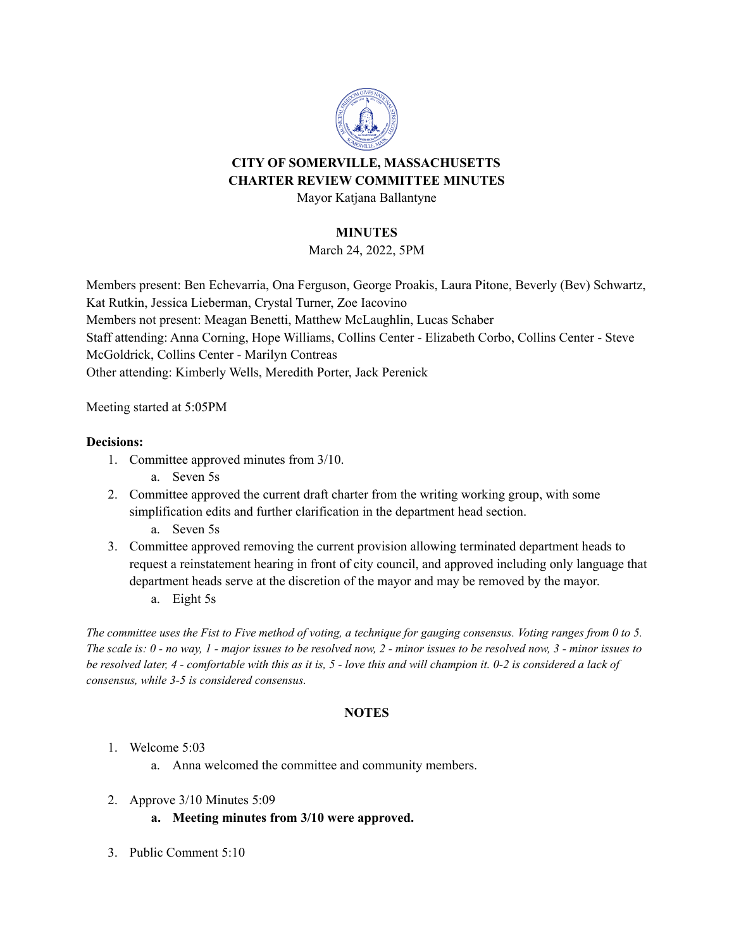

# **CITY OF SOMERVILLE, MASSACHUSETTS CHARTER REVIEW COMMITTEE MINUTES**

Mayor Katjana Ballantyne

## **MINUTES**

March 24, 2022, 5PM

Members present: Ben Echevarria, Ona Ferguson, George Proakis, Laura Pitone, Beverly (Bev) Schwartz, Kat Rutkin, Jessica Lieberman, Crystal Turner, Zoe Iacovino Members not present: Meagan Benetti, Matthew McLaughlin, Lucas Schaber Staff attending: Anna Corning, Hope Williams, Collins Center - Elizabeth Corbo, Collins Center - Steve McGoldrick, Collins Center - Marilyn Contreas Other attending: Kimberly Wells, Meredith Porter, Jack Perenick

Meeting started at 5:05PM

#### **Decisions:**

- 1. Committee approved minutes from 3/10.
	- a. Seven 5s
- 2. Committee approved the current draft charter from the writing working group, with some simplification edits and further clarification in the department head section.
	- a. Seven 5s
- 3. Committee approved removing the current provision allowing terminated department heads to request a reinstatement hearing in front of city council, and approved including only language that department heads serve at the discretion of the mayor and may be removed by the mayor.
	- a. Eight 5s

The committee uses the Fist to Five method of voting, a technique for gauging consensus. Voting ranges from 0 to 5. The scale is:  $0$  - no way,  $1$  - major issues to be resolved now,  $2$  - minor issues to be resolved now,  $3$  - minor issues to be resolved later, 4 - comfortable with this as it is, 5 - love this and will champion it. 0-2 is considered a lack of *consensus, while 3-5 is considered consensus.*

## **NOTES**

## 1. Welcome 5:03

- a. Anna welcomed the committee and community members.
- 2. Approve 3/10 Minutes 5:09
	- **a. Meeting minutes from 3/10 were approved.**
- 3. Public Comment 5:10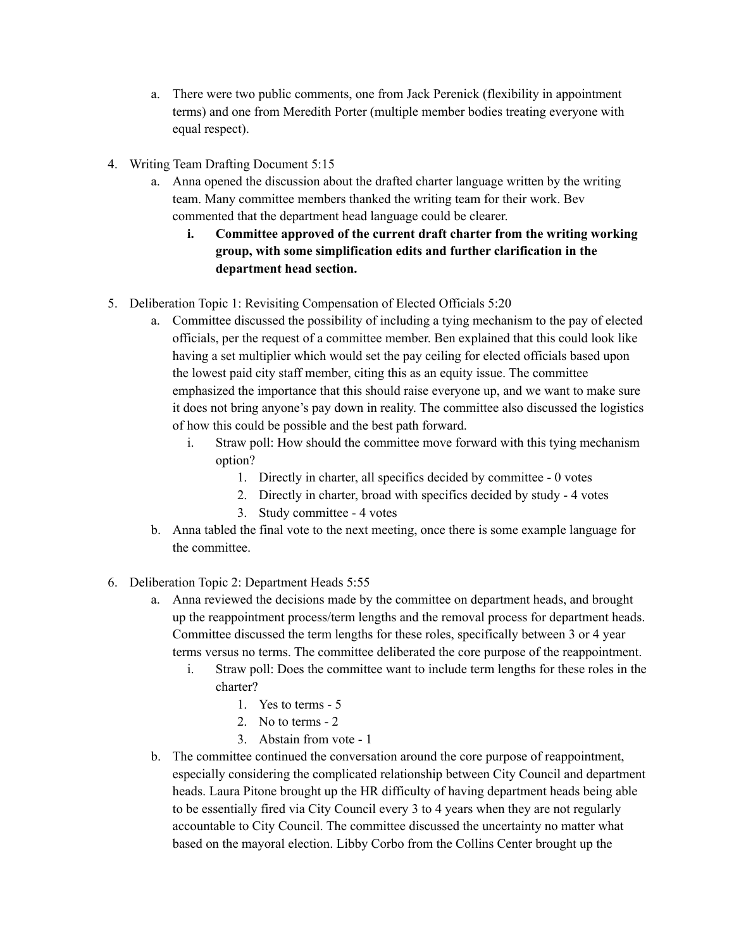- a. There were two public comments, one from Jack Perenick (flexibility in appointment terms) and one from Meredith Porter (multiple member bodies treating everyone with equal respect).
- 4. Writing Team Drafting Document 5:15
	- a. Anna opened the discussion about the drafted charter language written by the writing team. Many committee members thanked the writing team for their work. Bev commented that the department head language could be clearer.
		- **i. Committee approved of the current draft charter from the writing working group, with some simplification edits and further clarification in the department head section.**
- 5. Deliberation Topic 1: Revisiting Compensation of Elected Officials 5:20
	- a. Committee discussed the possibility of including a tying mechanism to the pay of elected officials, per the request of a committee member. Ben explained that this could look like having a set multiplier which would set the pay ceiling for elected officials based upon the lowest paid city staff member, citing this as an equity issue. The committee emphasized the importance that this should raise everyone up, and we want to make sure it does not bring anyone's pay down in reality. The committee also discussed the logistics of how this could be possible and the best path forward.
		- i. Straw poll: How should the committee move forward with this tying mechanism option?
			- 1. Directly in charter, all specifics decided by committee 0 votes
			- 2. Directly in charter, broad with specifics decided by study 4 votes
			- 3. Study committee 4 votes
	- b. Anna tabled the final vote to the next meeting, once there is some example language for the committee.
- 6. Deliberation Topic 2: Department Heads 5:55
	- a. Anna reviewed the decisions made by the committee on department heads, and brought up the reappointment process/term lengths and the removal process for department heads. Committee discussed the term lengths for these roles, specifically between 3 or 4 year terms versus no terms. The committee deliberated the core purpose of the reappointment.
		- i. Straw poll: Does the committee want to include term lengths for these roles in the charter?
			- 1. Yes to terms 5
			- 2. No to terms 2
			- 3. Abstain from vote 1
	- b. The committee continued the conversation around the core purpose of reappointment, especially considering the complicated relationship between City Council and department heads. Laura Pitone brought up the HR difficulty of having department heads being able to be essentially fired via City Council every 3 to 4 years when they are not regularly accountable to City Council. The committee discussed the uncertainty no matter what based on the mayoral election. Libby Corbo from the Collins Center brought up the